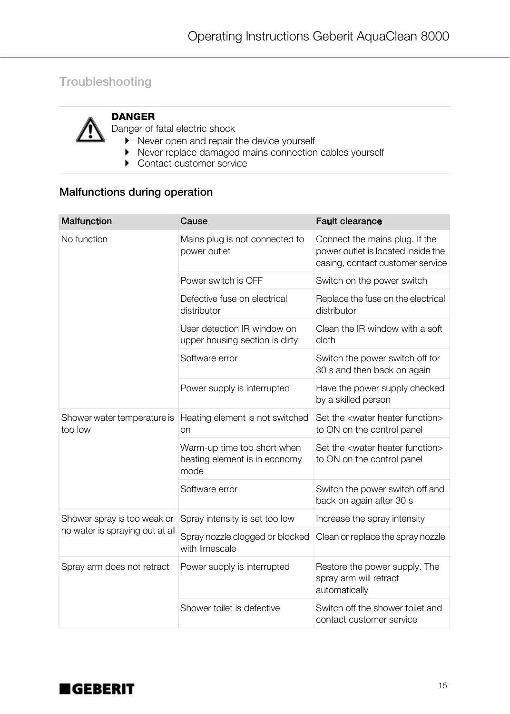## Troubleshooting



## DANGER

Danger of fatal electric shock

- ` Never open and repair the device yourself
- ` Never replace damaged mains connection cables yourself
- Contact customer service

## Malfunctions during operation

| <b>Malfunction</b>                                             | Cause                                                                | <b>Fault clearance</b>                                                                                   |
|----------------------------------------------------------------|----------------------------------------------------------------------|----------------------------------------------------------------------------------------------------------|
| No function                                                    | Mains plug is not connected to<br>power outlet                       | Connect the mains plug. If the<br>power outlet is located inside the<br>casing, contact customer service |
|                                                                | Power switch is OFF                                                  | Switch on the power switch                                                                               |
|                                                                | Defective fuse on electrical<br>distributor                          | Replace the fuse on the electrical<br>distributor                                                        |
|                                                                | User detection IR window on<br>upper housing section is dirty        | Clean the IR window with a soft<br>cloth                                                                 |
|                                                                | Software error                                                       | Switch the power switch off for<br>30 s and then back on again                                           |
|                                                                | Power supply is interrupted                                          | Have the power supply checked<br>by a skilled person                                                     |
| Shower water temperature is<br>too low                         | Heating element is not switched<br>on                                | Set the <water function="" heater=""><br/>to ON on the control panel</water>                             |
|                                                                | Warm-up time too short when<br>heating element is in economy<br>mode | Set the <water function="" heater=""><br/>to ON on the control panel</water>                             |
|                                                                | Software error                                                       | Switch the power switch off and<br>back on again after 30 s                                              |
| Shower spray is too weak or<br>no water is spraying out at all | Spray intensity is set too low                                       | Increase the spray intensity                                                                             |
|                                                                | Spray nozzle clogged or blocked<br>with limescale                    | Clean or replace the spray nozzle                                                                        |
| Spray arm does not retract                                     | Power supply is interrupted                                          | Restore the power supply. The<br>spray arm will retract<br>automatically                                 |
|                                                                | Shower toilet is defective                                           | Switch off the shower toilet and<br>contact customer service                                             |